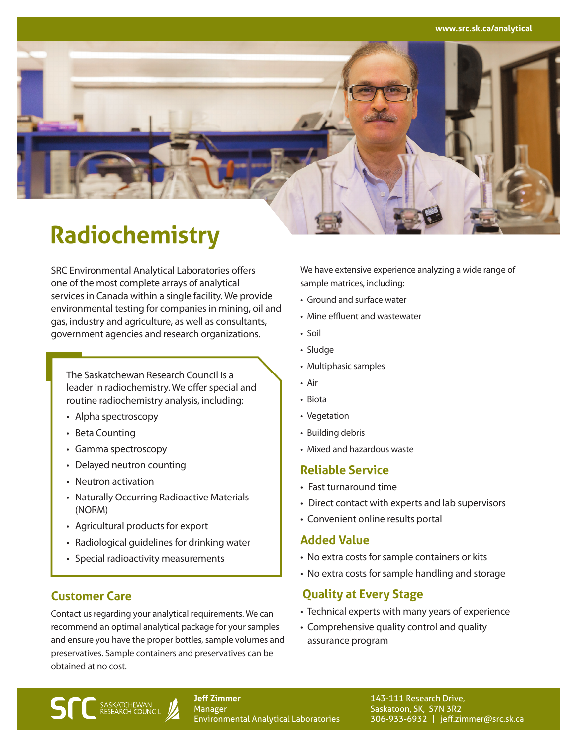# **Radiochemistry**

SRC Environmental Analytical Laboratories offers one of the most complete arrays of analytical services in Canada within a single facility. We provide environmental testing for companies in mining, oil and gas, industry and agriculture, as well as consultants, government agencies and research organizations.

The Saskatchewan Research Council is a leader in radiochemistry. We offer special and routine radiochemistry analysis, including:

- Alpha spectroscopy
- Beta Counting
- Gamma spectroscopy
- Delayed neutron counting
- Neutron activation
- Naturally Occurring Radioactive Materials (NORM)
- Agricultural products for export

SASKATCHEWAN<br>RESEARCH COUNCIL

- Radiological guidelines for drinking water
- Special radioactivity measurements

## **Customer Care**

Contact us regarding your analytical requirements. We can recommend an optimal analytical package for your samples and ensure you have the proper bottles, sample volumes and preservatives. Sample containers and preservatives can be obtained at no cost.

We have extensive experience analyzing a wide range of sample matrices, including:

- Ground and surface water
- Mine effluent and wastewater
- Soil
- Sludge
- Multiphasic samples
- Air
- Biota
- Vegetation
- Building debris
- Mixed and hazardous waste

### **Reliable Service**

- Fast turnaround time
- Direct contact with experts and lab supervisors
- Convenient online results portal

#### **Added Value**

- No extra costs for sample containers or kits
- No extra costs for sample handling and storage

### **Quality at Every Stage**

- Technical experts with many years of experience
- Comprehensive quality control and quality assurance program

**Jeff Zimmer** Manager Environmental Analytical Laboratories